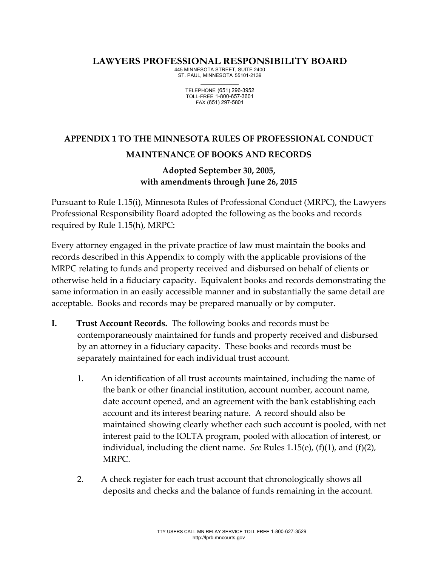## **LAWYERS PROFESSIONAL RESPONSIBILITY BOARD**

445 MINNESOTA STREET, SUITE 2400 ST. PAUL, MINNESOTA 55101-2139  $\overline{\phantom{a}}$ 

> TELEPHONE (651) 296-3952 TOLL-FREE 1-800-657-3601 FAX (651) 297-5801

## **APPENDIX 1 TO THE MINNESOTA RULES OF PROFESSIONAL CONDUCT MAINTENANCE OF BOOKS AND RECORDS**

## **Adopted September 30, 2005, with amendments through June 26, 2015**

Pursuant to Rule 1.15(i), Minnesota Rules of Professional Conduct (MRPC), the Lawyers Professional Responsibility Board adopted the following as the books and records required by Rule 1.15(h), MRPC:

Every attorney engaged in the private practice of law must maintain the books and records described in this Appendix to comply with the applicable provisions of the MRPC relating to funds and property received and disbursed on behalf of clients or otherwise held in a fiduciary capacity. Equivalent books and records demonstrating the same information in an easily accessible manner and in substantially the same detail are acceptable. Books and records may be prepared manually or by computer.

- **I. Trust Account Records.** The following books and records must be contemporaneously maintained for funds and property received and disbursed by an attorney in a fiduciary capacity. These books and records must be separately maintained for each individual trust account.
	- 1. An identification of all trust accounts maintained, including the name of the bank or other financial institution, account number, account name, date account opened, and an agreement with the bank establishing each account and its interest bearing nature. A record should also be maintained showing clearly whether each such account is pooled, with net interest paid to the IOLTA program, pooled with allocation of interest, or individual, including the client name. *See* Rules 1.15(e), (f)(1), and (f)(2), MRPC.
	- 2. A check register for each trust account that chronologically shows all deposits and checks and the balance of funds remaining in the account.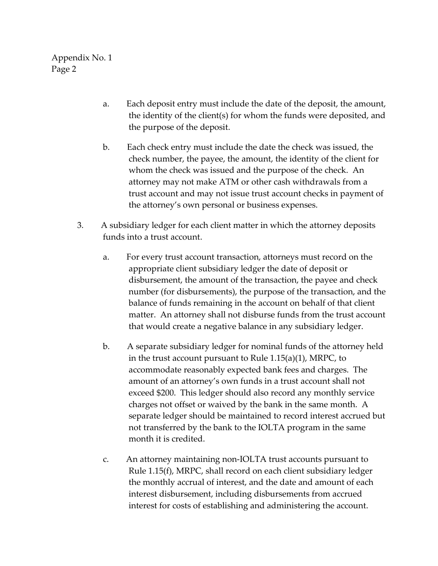- a. Each deposit entry must include the date of the deposit, the amount, the identity of the client(s) for whom the funds were deposited, and the purpose of the deposit.
- b. Each check entry must include the date the check was issued, the check number, the payee, the amount, the identity of the client for whom the check was issued and the purpose of the check. An attorney may not make ATM or other cash withdrawals from a trust account and may not issue trust account checks in payment of the attorney's own personal or business expenses.
- 3. A subsidiary ledger for each client matter in which the attorney deposits funds into a trust account.
	- a. For every trust account transaction, attorneys must record on the appropriate client subsidiary ledger the date of deposit or disbursement, the amount of the transaction, the payee and check number (for disbursements), the purpose of the transaction, and the balance of funds remaining in the account on behalf of that client matter. An attorney shall not disburse funds from the trust account that would create a negative balance in any subsidiary ledger.
	- b. A separate subsidiary ledger for nominal funds of the attorney held in the trust account pursuant to Rule 1.15(a)(1), MRPC, to accommodate reasonably expected bank fees and charges. The amount of an attorney's own funds in a trust account shall not exceed \$200. This ledger should also record any monthly service charges not offset or waived by the bank in the same month. A separate ledger should be maintained to record interest accrued but not transferred by the bank to the IOLTA program in the same month it is credited.
	- c. An attorney maintaining non-IOLTA trust accounts pursuant to Rule 1.15(f), MRPC, shall record on each client subsidiary ledger the monthly accrual of interest, and the date and amount of each interest disbursement, including disbursements from accrued interest for costs of establishing and administering the account.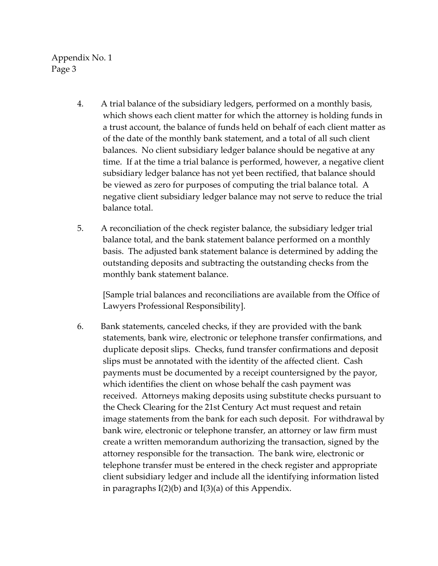- 4. A trial balance of the subsidiary ledgers, performed on a monthly basis, which shows each client matter for which the attorney is holding funds in a trust account, the balance of funds held on behalf of each client matter as of the date of the monthly bank statement, and a total of all such client balances. No client subsidiary ledger balance should be negative at any time. If at the time a trial balance is performed, however, a negative client subsidiary ledger balance has not yet been rectified, that balance should be viewed as zero for purposes of computing the trial balance total. A negative client subsidiary ledger balance may not serve to reduce the trial balance total.
- 5. A reconciliation of the check register balance, the subsidiary ledger trial balance total, and the bank statement balance performed on a monthly basis. The adjusted bank statement balance is determined by adding the outstanding deposits and subtracting the outstanding checks from the monthly bank statement balance.

[Sample trial balances and reconciliations are available from the Office of Lawyers Professional Responsibility].

6. Bank statements, canceled checks, if they are provided with the bank statements, bank wire, electronic or telephone transfer confirmations, and duplicate deposit slips. Checks, fund transfer confirmations and deposit slips must be annotated with the identity of the affected client. Cash payments must be documented by a receipt countersigned by the payor, which identifies the client on whose behalf the cash payment was received. Attorneys making deposits using substitute checks pursuant to the Check Clearing for the 21st Century Act must request and retain image statements from the bank for each such deposit. For withdrawal by bank wire, electronic or telephone transfer, an attorney or law firm must create a written memorandum authorizing the transaction, signed by the attorney responsible for the transaction. The bank wire, electronic or telephone transfer must be entered in the check register and appropriate client subsidiary ledger and include all the identifying information listed in paragraphs  $I(2)(b)$  and  $I(3)(a)$  of this Appendix.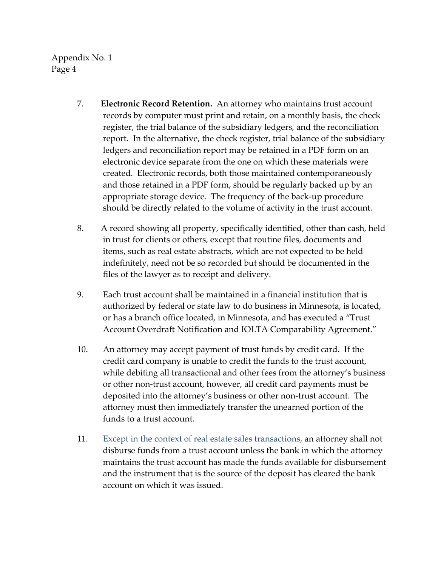- 7. **Electronic Record Retention.** An attorney who maintains trust account records by computer must print and retain, on a monthly basis, the check register, the trial balance of the subsidiary ledgers, and the reconciliation report. In the alternative, the check register, trial balance of the subsidiary ledgers and reconciliation report may be retained in a PDF form on an electronic device separate from the one on which these materials were created. Electronic records, both those maintained contemporaneously and those retained in a PDF form, should be regularly backed up by an appropriate storage device. The frequency of the back-up procedure should be directly related to the volume of activity in the trust account.
- 8. A record showing all property, specifically identified, other than cash, held in trust for clients or others, except that routine files, documents and items, such as real estate abstracts, which are not expected to be held indefinitely, need not be so recorded but should be documented in the files of the lawyer as to receipt and delivery.
- 9. Each trust account shall be maintained in a financial institution that is authorized by federal or state law to do business in Minnesota, is located, or has a branch office located, in Minnesota, and has executed a "Trust Account Overdraft Notification and IOLTA Comparability Agreement."
- 10. An attorney may accept payment of trust funds by credit card. If the credit card company is unable to credit the funds to the trust account, while debiting all transactional and other fees from the attorney's business or other non-trust account, however, all credit card payments must be deposited into the attorney's business or other non-trust account. The attorney must then immediately transfer the unearned portion of the funds to a trust account.
- 11. Except in the context of real estate sales transactions, an attorney shall not disburse funds from a trust account unless the bank in which the attorney maintains the trust account has made the funds available for disbursement and the instrument that is the source of the deposit has cleared the bank account on which it was issued.